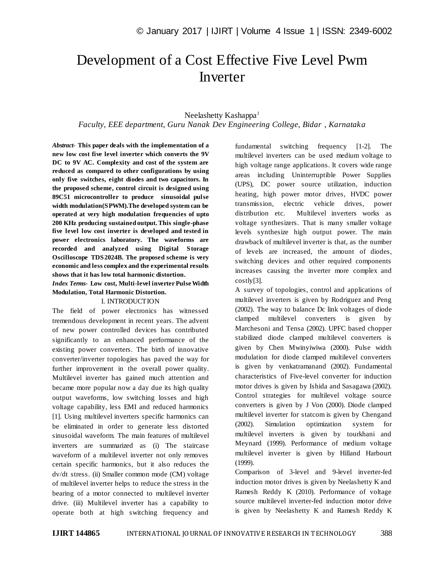# Development of a Cost Effective Five Level Pwm Inverter

## Neelashetty Kashappa*<sup>1</sup>*

*Faculty, EEE department, Guru Nanak Dev Engineering College, Bidar , Karnataka*

*Abstract*- **This paper deals with the implementation of a new low cost five level inverter which converts the 9V DC to 9V AC. Complexity and cost of the system are reduced as compared to other configurations by using only five switches, eight diodes and two capacitors. In the proposed scheme, control circuit is designed using 89C51 microcontroller to produce sinusoidal pulse width modulation(SPWM).The developed system can be operated at very high modulation frequencies of upto 200 KHz producing sustained output. This single-phase five level low cost inverter is developed and tested in power electronics laboratory. The waveforms are recorded and analyzed using Digital Storage Oscilloscope TDS2024B. The proposed scheme is very economic and less complex and the experimental results shows that it has low total harmonic distortion.** 

*Index Terms***- Low cost, Multi-level inverter Pulse Width Modulation, Total Harmonic Distortion.**

## I. INTRODUCTION

The field of power electronics has witnessed tremendous development in recent years. The advent of new power controlled devices has contributed significantly to an enhanced performance of the existing power converters. The birth of innovative converter/inverter topologies has paved the way for further improvement in the overall power quality. Multilevel inverter has gained much attention and became more popular now a day due its high quality output waveforms, low switching losses and high voltage capability, less EMI and reduced harmonics [1]. Using multilevel inverters specific harmonics can be eliminated in order to generate less distorted sinusoidal waveform. The main features of multilevel inverters are summarized as (i) The staircase waveform of a multilevel inverter not only removes certain specific harmonics, but it also reduces the dv/dt stress. (ii) Smaller common mode (CM) voltage of multilevel inverter helps to reduce the stress in the bearing of a motor connected to multilevel inverter drive. (iii) Multilevel inverter has a capability to operate both at high switching frequency and

fundamental switching frequency [1-2]. The multilevel inverters can be used medium voltage to high voltage range applications. It covers wide range areas including Uninterruptible Power Supplies (UPS), DC power source utilization, induction heating, high power motor drives, HVDC power transmission, electric vehicle drives, power distribution etc. Multilevel inverters works as voltage synthesizers. That is many smaller voltage levels synthesize high output power. The main drawback of multilevel inverter is that, as the number of levels are increased, the amount of diodes, switching devices and other required components increases causing the inverter more complex and costly[3].

A survey of topologies, control and applications of multilevel inverters is given by Rodriguez and Peng (2002). The way to balance Dc link voltages of diode clamped multilevel converters is given by Marchesoni and Tensa (2002). UPFC based chopper stabilized diode clamped multilevel converters is given by Chen Mwinyiwiwa (2000). Pulse width modulation for diode clamped multilevel converters is given by venkatramanand (2002). Fundamental characteristics of Five-level converter for induction motor drives is given by Ishida and Sasagawa (2002). Control strategies for multilevel voltage source converters is given by J Von (2000). Diode clamped multilevel inverter for statcom is given by Chengand (2002). Simulation optimization system for multilevel inverters is given by tourkhani and Meynard (1999). Performance of medium voltage multilevel inverter is given by Hilland Harbourt (1999).

Comparison of 3-level and 9-level inverter-fed induction motor drives is given by Neelashetty K and Ramesh Reddy K (2010). Performance of voltage source multilevel inverter-fed induction motor drive is given by Neelashetty K and Ramesh Reddy K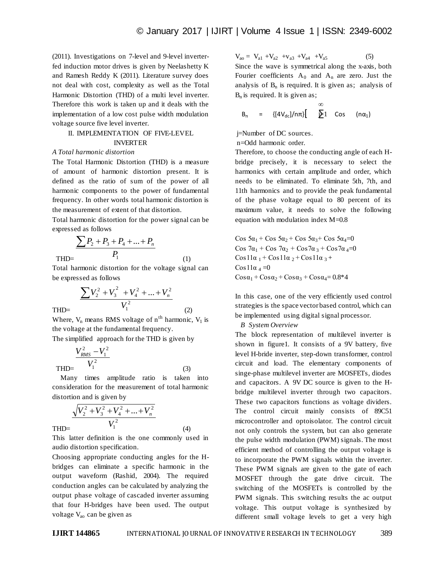(2011). Investigations on 7-level and 9-level inverterfed induction motor drives is given by Neelashetty K and Ramesh Reddy K (2011). Literature survey does not deal with cost, complexity as well as the Total Harmonic Distortion (THD) of a multi level inverter. Therefore this work is taken up and it deals with the implementation of a low cost pulse width modulation voltage source five level inverter.

## II. IMPLEMENTATION OF FIVE-LEVEL

# INVERTER

## *A Total harmonic distortion*

The Total Harmonic Distortion (THD) is a measure of amount of harmonic distortion present. It is defined as the ratio of sum of the power of all harmonic components to the power of fundamental frequency. In other words total harmonic distortion is the measurement of extent of that distortion.

Total harmonic distortion for the power signal can be expressed as follows

 THD= 1  $P_2 + P_3 + P_4 + ...$ *P*  $\sum P_2 + P_3 + P_4 + ... + P_n$ 

Total harmonic distortion for the voltage signal can be expressed as follows

(1)

(2)

(3)

(4)

$$
\frac{\sum V_2^2 + V_3^2 + V_4^2 + \dots + V_n^2}{V_1^2}
$$

THD=

THD=

Where,  $V_n$  means RMS voltage of  $n<sup>th</sup>$  harmonic,  $V_1$  is the voltage at the fundamental frequency.

The simplified approach for the THD is given by

$$
\frac{V_{RMS}^2 - V_1^2}{V_1^2}
$$

 Many times amplitude ratio is taken into consideration for the measurement of total harmonic distortion and is given by

$$
\frac{\sqrt{V_2^2 + V_3^2 + V_4^2 + \dots + V_n^2}}{V_1^2}
$$

This latter definition is the one commonly used in audio distortion specification.

Choosing appropriate conducting angles for the Hbridges can eliminate a specific harmonic in the output waveform (Rashid, 2004). The required conduction angles can be calculated by analyzing the output phase voltage of cascaded inverter assuming that four H-bridges have been used. The output voltage V<sub>ao</sub> can be given as

 $V_{ao} = V_{a1} + V_{a2} + V_{a3} + V_{a4} + V_{a5}$  (5)

Since the wave is symmetrical along the x-axis, both Fourier coefficients  $A_0$  and  $A_n$  are zero. Just the analysis of  $B_n$  is required. It is given as; analysis of  $B_n$  is required. It is given as;

$$
B_n = \{ [4V_{dc}]/n\pi \} \left[ \sum_{i=1}^{\infty} 1 \text{ Cos } (n\alpha_1) \right]
$$

j=Number of DC sources.

n=Odd harmonic order.

Therefore, to choose the conducting angle of each Hbridge precisely, it is necessary to select the harmonics with certain amplitude and order, which needs to be eliminated. To eliminate 5th, 7th, and 11th harmonics and to provide the peak fundamental of the phase voltage equal to 80 percent of its maximum value, it needs to solve the following equation with modulation index M=0.8

Cos  $5\alpha_1$  + Cos  $5\alpha_2$  + Cos  $5\alpha_3$  + Cos  $5\alpha_4$  = 0 Cos  $7\alpha_1$  + Cos  $7\alpha_2$  + Cos $7\alpha_3$  + Cos $7\alpha_4$ =0  $\cos 11\alpha_1 + \cos 11\alpha_2 + \cos 11\alpha_3 +$ Cos  $11\alpha_4 = 0$  $\cos\alpha_1 + \cos\alpha_2 + \cos\alpha_3 + \cos\alpha_4 = 0.8*4$ 

In this case, one of the very efficiently used control strategies is the space vector based control, which can be implemented using digital signal processor.

## *B System Overview*

The block representation of multilevel inverter is shown in figure1. It consists of a 9V battery, five level H-bride inverter, step-down transformer, control circuit and load. The elementary components of singe-phase multilevel inverter are MOSFETs, diodes and capacitors. A 9V DC source is given to the Hbridge multilevel inverter through two capacitors. These two capacitors functions as voltage dividers. The control circuit mainly consists of 89C51 microcontroller and optoisolator. The control circuit not only controls the system, but can also generate the pulse width modulation (PWM) signals. The most efficient method of controlling the output voltage is to incorporate the PWM signals within the inverter. These PWM signals are given to the gate of each MOSFET through the gate drive circuit. The switching of the MOSFETs is controlled by the PWM signals. This switching results the ac output voltage. This output voltage is synthesized by different small voltage levels to get a very high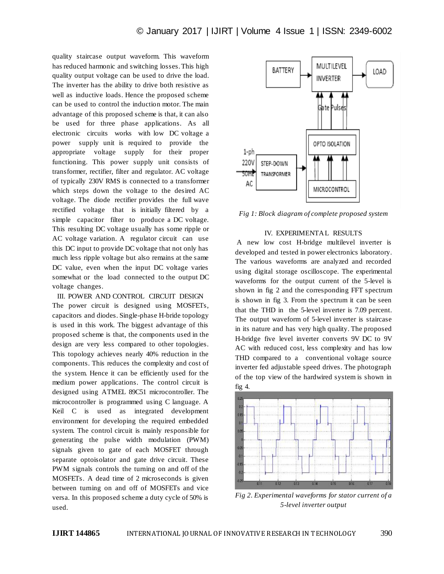quality staircase output waveform. This waveform has reduced harmonic and switching losses. This high quality output voltage can be used to drive the load. The inverter has the ability to drive both resistive as well as inductive loads. Hence the proposed scheme can be used to control the induction motor. The main advantage of this proposed scheme is that, it can also be used for three phase applications. As all electronic circuits works with low DC voltage a power supply unit is required to provide the appropriate voltage supply for their proper functioning. This power supply unit consists of transformer, rectifier, filter and regulator. AC voltage of typically 230V RMS is connected to a transformer which steps down the voltage to the desired AC voltage. The diode rectifier provides the full wave rectified voltage that is initially filtered by a simple capacitor filter to produce a DC voltage. This resulting DC voltage usually has some ripple or AC voltage variation. A regulator circuit can use this DC input to provide DC voltage that not only has much less ripple voltage but also remains at the same DC value, even when the input DC voltage varies somewhat or the load connected to the output DC voltage changes.

III. POWER AND CONTROL CIRCUIT DESIGN The power circuit is designed using MOSFETs, capacitors and diodes. Single-phase H-bride topology is used in this work. The biggest advantage of this proposed scheme is that, the components used in the design are very less compared to other topologies. This topology achieves nearly 40% reduction in the components. This reduces the complexity and cost of the system. Hence it can be efficiently used for the medium power applications. The control circuit is designed using ATMEL 89C51 microcontroller. The microcontroller is programmed using C language. A Keil C is used as integrated development environment for developing the required embedded system. The control circuit is mainly responsible for generating the pulse width modulation (PWM) signals given to gate of each MOSFET through separate optoisolator and gate drive circuit. These PWM signals controls the turning on and off of the MOSFETs. A dead time of 2 microseconds is given between turning on and off of MOSFETs and vice versa. In this proposed scheme a duty cycle of 50% is used.



*Fig 1: Block diagram of complete proposed system*

#### IV. EXPERIMENTAL RESULTS

A new low cost H-bridge multilevel inverter is developed and tested in power electronics laboratory. The various waveforms are analyzed and recorded using digital storage oscilloscope. The experimental waveforms for the output current of the 5-level is shown in fig 2 and the corresponding FFT spectrum is shown in fig 3. From the spectrum it can be seen that the THD in the 5-level inverter is 7.09 percent. The output waveform of 5-level inverter is staircase in its nature and has very high quality. The proposed H-bridge five level inverter converts 9V DC to 9V AC with reduced cost, less complexity and has low THD compared to a conventional voltage source inverter fed adjustable speed drives. The photograph of the top view of the hardwired system is shown in fig 4.



*Fig 2. Experimental waveforms for stator current of a 5-level inverter output*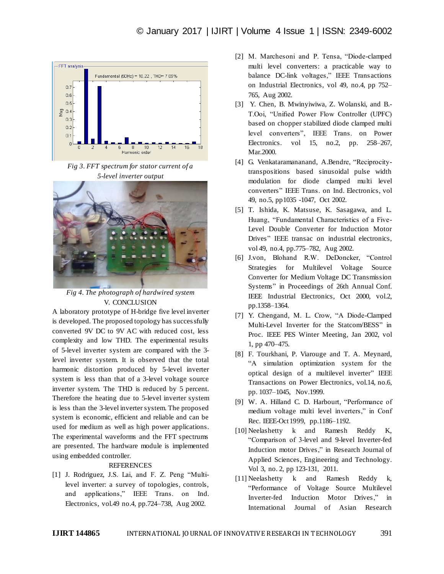

*Fig 3. FFT spectrum for stator current of a 5-level inverter output*



*Fig 4. The photograph of hardwired system* V. CONCLUSION

A laboratory prototype of H-bridge five level inverter is developed. The proposed topology has successfully converted 9V DC to 9V AC with reduced cost, less complexity and low THD. The experimental results of 5-level inverter system are compared with the 3 level inverter system. It is observed that the total harmonic distortion produced by 5-level inverter system is less than that of a 3-level voltage source inverter system. The THD is reduced by 5 percent. Therefore the heating due to 5-level inverter system is less than the 3-level inverter system. The proposed system is economic, efficient and reliable and can be used for medium as well as high power applications. The experimental waveforms and the FFT spectrums are presented. The hardware module is implemented using embedded controller.

## REFERENCES

[1] J. Rodriguez, J.S. Lai, and F. Z. Peng "Multilevel inverter: a survey of topologies, controls, and applications," IEEE Trans. on Ind. Electronics, vol.49 no.4, pp.724–738, Aug 2002.

- [2] M. Marchesoni and P. Tensa, "Diode-clamped multi level converters: a practicable way to balance DC-link voltages," IEEE Transactions on Industrial Electronics, vol 49, no.4, pp 752– 765, Aug 2002.
- [3] Y. Chen, B. Mwinyiwiwa, Z. Wolanski, and B.- T.Ooi, "Unified Power Flow Controller (UPFC) based on chopper stabilized diode clamped multi level converters", IEEE Trans. on Power Electronics. vol 15, no.2, pp. 258–267, Mar.2000.
- [4] G. Venkataramananand, A.Bendre, "Reciprocitytranspositions based sinusoidal pulse width modulation for diode clamped multi level converters" IEEE Trans. on Ind. Electronics, vol 49, no.5, pp1035 -1047, Oct 2002.
- [5] T. Ishida, K. Matsuse, K. Sasagawa, and L. Huang, "Fundamental Characteristics of a Five-Level Double Converter for Induction Motor Drives" IEEE transac on industrial electronics, vol 49, no.4, pp.775–782, Aug 2002.
- [6] J.von, Blohand R.W. DeDoncker, "Control Strategies for Multilevel Voltage Source Converter for Medium Voltage DC Transmission Systems" in Proceedings of 26th Annual Conf. IEEE Industrial Electronics, Oct 2000, vol.2, pp.1358–1364.
- [7] Y. Chengand, M. L. Crow, "A Diode-Clamped Multi-Level Inverter for the Statcom/BESS" in Proc. IEEE PES Winter Meeting, Jan 2002, vol 1, pp 470–475.
- [8] F. Tourkhani, P. Viarouge and T. A. Meynard, "A simulation optimization system for the optical design of a multilevel inverter" IEEE Transactions on Power Electronics, vol.14, no.6, pp. 1037–1045, Nov.1999.
- [9] W. A. Hilland C. D. Harbourt, "Performance of medium voltage multi level inverters," in Conf Rec. IEEE-Oct1999, pp.1186–1192.
- [10] Neelashetty k and Ramesh Reddy K, "Comparison of 3-level and 9-level Inverter-fed Induction motor Drives," in Research Journal of Applied Sciences, Engineering and Technology. Vol 3, no. 2, pp 123-131, 2011.
- [11] Neelashetty k and Ramesh Reddy k, "Performance of Voltage Source Multilevel Inverter-fed Induction Motor Drives," in International Journal of Asian Research